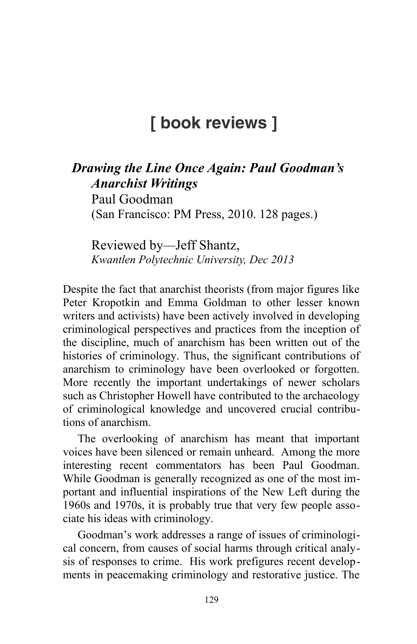## **[ book reviews ]**

## *Drawing the Line Once Again: Paul Goodman's Anarchist Writings* Paul Goodman

(San Francisco: PM Press, 2010. 128 pages.)

Reviewed by*—*Jeff Shantz, *Kwantlen Polytechnic University, Dec 2013*

Despite the fact that anarchist theorists (from major figures like Peter Kropotkin and Emma Goldman to other lesser known writers and activists) have been actively involved in developing criminological perspectives and practices from the inception of the discipline, much of anarchism has been written out of the histories of criminology. Thus, the significant contributions of anarchism to criminology have been overlooked or forgotten. More recently the important undertakings of newer scholars such as Christopher Howell have contributed to the archaeology of criminological knowledge and uncovered crucial contributions of anarchism.

The overlooking of anarchism has meant that important voices have been silenced or remain unheard. Among the more interesting recent commentators has been Paul Goodman. While Goodman is generally recognized as one of the most important and influential inspirations of the New Left during the 1960s and 1970s, it is probably true that very few people associate his ideas with criminology.

Goodman's work addresses a range of issues of criminological concern, from causes of social harms through critical analysis of responses to crime. His work prefigures recent developments in peacemaking criminology and restorative justice. The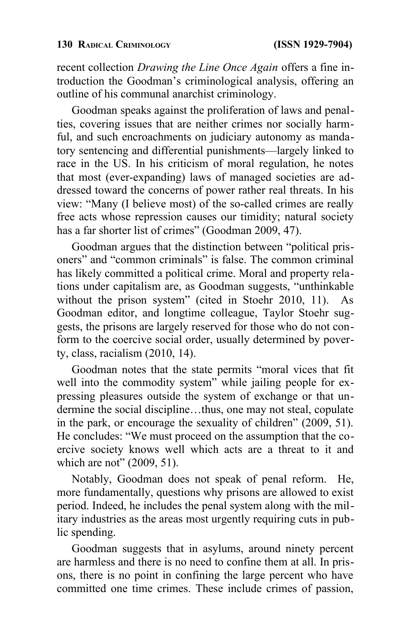recent collection *Drawing the Line Once Again* offers a fine introduction the Goodman's criminological analysis, offering an outline of his communal anarchist criminology.

Goodman speaks against the proliferation of laws and penalties, covering issues that are neither crimes nor socially harmful, and such encroachments on judiciary autonomy as mandatory sentencing and differential punishments—largely linked to race in the US. In his criticism of moral regulation, he notes that most (ever-expanding) laws of managed societies are addressed toward the concerns of power rather real threats. In his view: "Many (I believe most) of the so-called crimes are really free acts whose repression causes our timidity; natural society has a far shorter list of crimes" (Goodman 2009, 47).

Goodman argues that the distinction between "political prisoners" and "common criminals" is false. The common criminal has likely committed a political crime. Moral and property relations under capitalism are, as Goodman suggests, "unthinkable without the prison system" (cited in Stoehr 2010, 11). As Goodman editor, and longtime colleague, Taylor Stoehr suggests, the prisons are largely reserved for those who do not conform to the coercive social order, usually determined by poverty, class, racialism (2010, 14).

Goodman notes that the state permits "moral vices that fit well into the commodity system" while jailing people for expressing pleasures outside the system of exchange or that undermine the social discipline…thus, one may not steal, copulate in the park, or encourage the sexuality of children" (2009, 51). He concludes: "We must proceed on the assumption that the coercive society knows well which acts are a threat to it and which are not" (2009, 51).

Notably, Goodman does not speak of penal reform. He, more fundamentally, questions why prisons are allowed to exist period. Indeed, he includes the penal system along with the military industries as the areas most urgently requiring cuts in public spending.

Goodman suggests that in asylums, around ninety percent are harmless and there is no need to confine them at all. In prisons, there is no point in confining the large percent who have committed one time crimes. These include crimes of passion,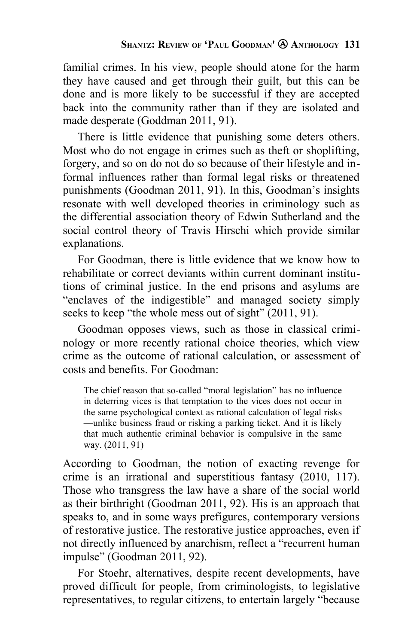familial crimes. In his view, people should atone for the harm they have caused and get through their guilt, but this can be done and is more likely to be successful if they are accepted back into the community rather than if they are isolated and made desperate (Goddman 2011, 91).

There is little evidence that punishing some deters others. Most who do not engage in crimes such as theft or shoplifting, forgery, and so on do not do so because of their lifestyle and informal influences rather than formal legal risks or threatened punishments (Goodman 2011, 91). In this, Goodman's insights resonate with well developed theories in criminology such as the differential association theory of Edwin Sutherland and the social control theory of Travis Hirschi which provide similar explanations.

For Goodman, there is little evidence that we know how to rehabilitate or correct deviants within current dominant institutions of criminal justice. In the end prisons and asylums are "enclaves of the indigestible" and managed society simply seeks to keep "the whole mess out of sight" (2011, 91).

Goodman opposes views, such as those in classical criminology or more recently rational choice theories, which view crime as the outcome of rational calculation, or assessment of costs and benefits. For Goodman:

The chief reason that so-called "moral legislation" has no influence in deterring vices is that temptation to the vices does not occur in the same psychological context as rational calculation of legal risks —unlike business fraud or risking a parking ticket. And it is likely that much authentic criminal behavior is compulsive in the same way. (2011, 91)

According to Goodman, the notion of exacting revenge for crime is an irrational and superstitious fantasy (2010, 117). Those who transgress the law have a share of the social world as their birthright (Goodman 2011, 92). His is an approach that speaks to, and in some ways prefigures, contemporary versions of restorative justice. The restorative justice approaches, even if not directly influenced by anarchism, reflect a "recurrent human impulse" (Goodman 2011, 92).

For Stoehr, alternatives, despite recent developments, have proved difficult for people, from criminologists, to legislative representatives, to regular citizens, to entertain largely "because